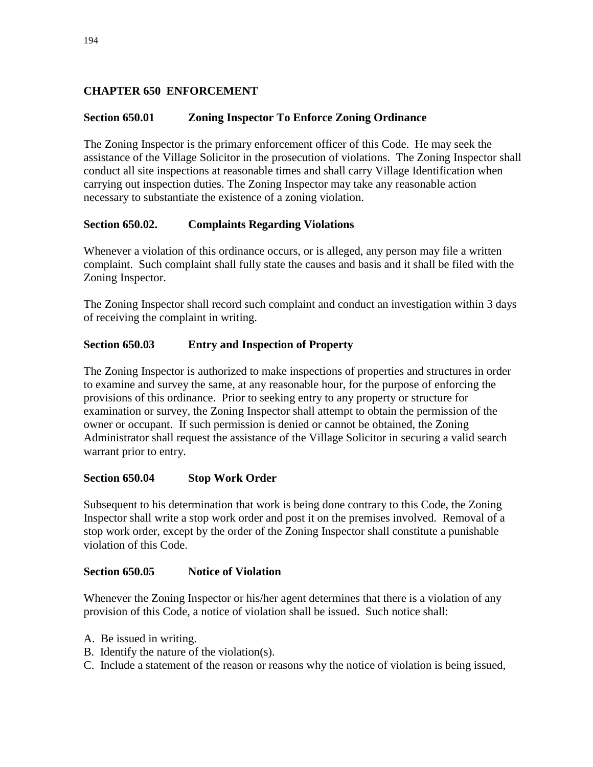## **CHAPTER 650 ENFORCEMENT**

### **Section 650.01 Zoning Inspector To Enforce Zoning Ordinance**

The Zoning Inspector is the primary enforcement officer of this Code. He may seek the assistance of the Village Solicitor in the prosecution of violations. The Zoning Inspector shall conduct all site inspections at reasonable times and shall carry Village Identification when carrying out inspection duties. The Zoning Inspector may take any reasonable action necessary to substantiate the existence of a zoning violation.

### **Section 650.02. Complaints Regarding Violations**

Whenever a violation of this ordinance occurs, or is alleged, any person may file a written complaint. Such complaint shall fully state the causes and basis and it shall be filed with the Zoning Inspector.

The Zoning Inspector shall record such complaint and conduct an investigation within 3 days of receiving the complaint in writing.

### **Section 650.03 Entry and Inspection of Property**

The Zoning Inspector is authorized to make inspections of properties and structures in order to examine and survey the same, at any reasonable hour, for the purpose of enforcing the provisions of this ordinance. Prior to seeking entry to any property or structure for examination or survey, the Zoning Inspector shall attempt to obtain the permission of the owner or occupant. If such permission is denied or cannot be obtained, the Zoning Administrator shall request the assistance of the Village Solicitor in securing a valid search warrant prior to entry.

### **Section 650.04 Stop Work Order**

Subsequent to his determination that work is being done contrary to this Code, the Zoning Inspector shall write a stop work order and post it on the premises involved. Removal of a stop work order, except by the order of the Zoning Inspector shall constitute a punishable violation of this Code.

#### **Section 650.05 Notice of Violation**

Whenever the Zoning Inspector or his/her agent determines that there is a violation of any provision of this Code, a notice of violation shall be issued. Such notice shall:

- A. Be issued in writing.
- B. Identify the nature of the violation(s).
- C. Include a statement of the reason or reasons why the notice of violation is being issued,